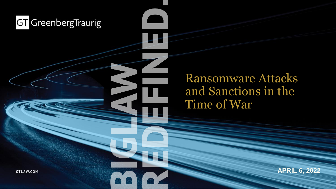Ransomware Attacks and Sanctions in the Time of War

**APRIL 6, 2022**

**GTLAW.COM**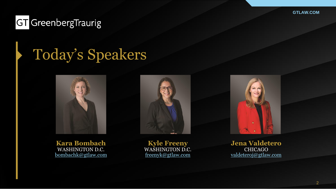#### **GT** GreenbergTraurig

# Today's Speakers





**Kara Bombach** WASHINGTON D.C. [bombachk@gtlaw.com](mailto:bombachk@gtlaw.com)

**Kyle Freeny** WASHINGTON D.C. [freenyk@gtlaw.com](mailto:greenbergb@gtlaw.com)

**Jena Valdetero** CHICAGO valdetero[j@gtlaw.com](mailto:brennanct@gtlaw.com)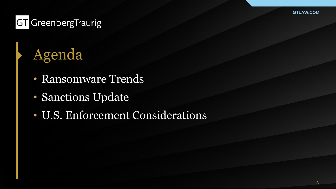### **GT** GreenbergTraurig

# Agenda

- Ransomware Trends
- Sanctions Update
- U.S. Enforcement Considerations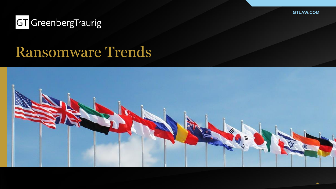#### **GT** GreenbergTraurig

## Ransomware Trends

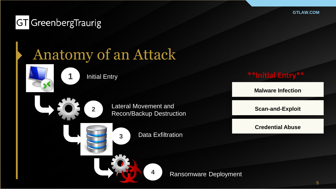#### **GT** GreenbergTraurig

# Anatomy of an Attack



**1** Initial Entry



Lateral Movement and Recon/Backup Destruction



**3** Data Exfiltration



**Malware Infection**

**Scan-and-Exploit**

**Credential Abuse**

**4** Ransomware Deployment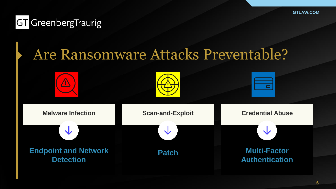#### **GT** GreenbergTraurig

# Are Ransomware Attacks Preventable?







| <b>Malware Infection</b>                        | <b>Scan-and-Exploit</b> | <b>Credential Abuse</b>                      |  |  |  |
|-------------------------------------------------|-------------------------|----------------------------------------------|--|--|--|
|                                                 | ╰┸                      |                                              |  |  |  |
| <b>Endpoint and Network</b><br><b>Detection</b> | <b>Patch</b>            | <b>Multi-Factor</b><br><b>Authentication</b> |  |  |  |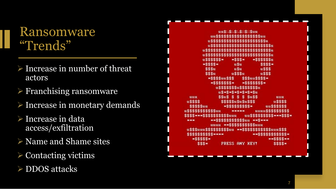### Ransomware "Trends"

- ➢ Increase in number of threat actors
- $\triangleright$  Franchising ransomware
- ➢ Increase in monetary demands
- ➢ Increase in data access/exfiltration
- ➢ Name and Shame sites
- ➢ Contacting victims
- ➢ DDOS attacks

|                                                                       | uu\$::\$::\$::\$::\$::\$uu                                           |                      |               |                              |  |
|-----------------------------------------------------------------------|----------------------------------------------------------------------|----------------------|---------------|------------------------------|--|
|                                                                       | uu\$\$\$\$\$\$\$\$\$\$\$\$\$\$\$\$\$uu                               |                      |               |                              |  |
|                                                                       | u\$\$\$\$\$\$\$\$\$\$\$\$\$\$\$\$\$\$\$\$\$\$u                       |                      |               |                              |  |
|                                                                       | u\$\$\$\$\$\$\$\$\$\$\$\$\$\$\$\$\$\$\$\$\$\$\$\$u                   |                      |               |                              |  |
|                                                                       | u\$\$\$\$\$\$\$\$\$\$\$\$\$\$\$\$\$\$\$\$\$\$\$\$\$\$                |                      |               |                              |  |
|                                                                       | u\$\$\$\$\$\$\$\$\$\$\$\$\$\$\$\$\$\$\$\$\$\$\$\$\$\$                |                      |               |                              |  |
|                                                                       | u\$\$\$\$\$\$*                                                       | $*$ \$\$\$*          | *S\$\$\$\$\$u |                              |  |
|                                                                       | <b>*\$\$\$\$*</b>                                                    | u\$u                 |               | $$$ \$\$\$*                  |  |
|                                                                       | <b>SSSu</b>                                                          | u\$u                 |               | <b>u\$\$\$</b>               |  |
|                                                                       | <b>SSSu</b>                                                          | <b>u\$\$\$u</b>      |               | <b>u\$\$\$</b>               |  |
|                                                                       | *\$\$\$\$uu\$\$\$ \$\$\$uu\$\$\$\$*                                  |                      |               |                              |  |
|                                                                       | $*$ \$\$\$\$\$\$\$* *\$\$\$\$\$\$\$\$*                               |                      |               |                              |  |
|                                                                       | u\$\$\$\$\$\$\$u\$\$\$\$\$\$\$u                                      |                      |               |                              |  |
|                                                                       | <b>US*S*S*S*S*S*S*SU</b>                                             |                      |               |                              |  |
| uuu                                                                   | sus s s s suss                                                       |                      |               | <b>uuu</b>                   |  |
| u\$\$\$\$                                                             | \$\$\$\$\$u\$u\$u\$\$\$                                              |                      |               | <b>uSSSS</b>                 |  |
| <b>\$\$\$\$\$uu</b>                                                   |                                                                      | *\$\$\$\$\$\$\$\$\$* |               | uuSSSSSS                     |  |
| u\$\$\$\$\$\$\$\$\$\$\$uu                                             |                                                                      |                      |               | ***** uuuu\$\$\$\$\$\$\$\$\$ |  |
| \$\$\$\$****\$\$\$\$\$\$\$\$\$\$uuu uu\$\$\$\$\$\$\$\$\$\$****\$\$\$* |                                                                      |                      |               |                              |  |
| 90-90-90                                                              | ***\$\$\$\$\$\$\$\$\$\$\$uu **\$***                                  |                      |               |                              |  |
|                                                                       | uuuu **\$\$\$\$\$\$\$\$\$\$uuu                                       |                      |               |                              |  |
|                                                                       | u\$\$\$uuu\$\$\$\$\$\$\$\$\$\$uu **\$\$\$\$\$\$\$\$\$\$\$\$uuu\$\$\$ |                      |               |                              |  |
|                                                                       | \$\$\$\$\$\$\$\$\$\$****                                             |                      |               | **\$\$\$\$\$\$\$\$\$\$*      |  |
| *\$\$\$\$\$*                                                          |                                                                      |                      |               | **\$\$\$\$**                 |  |
| $$$ \$\$*                                                             |                                                                      | PRESS ANY REY!       |               | $$$ \$\$\$ $*$               |  |
|                                                                       |                                                                      |                      |               |                              |  |

**GTLAWER**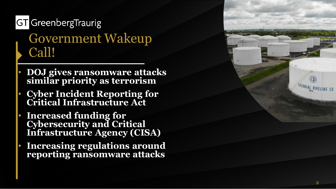## **GT** GreenbergTraurig Government Wakeup Call!

- **DOJ gives ransomware attacks similar priority as terrorism**
- **Cyber Incident Reporting for Critical Infrastructure Act**
- **Increased funding for Cybersecurity and Critical Infrastructure Agency (CISA )**
- **Increasing regulations around reporting ransomware attacks**

COLONIAL PIPELINE CO

**GTLAW**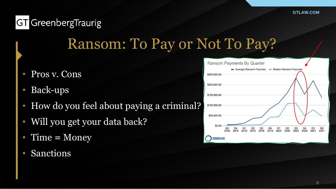# Ransom: To Pay or Not To Pay?

- Pros v. Cons
- Back-ups
- How do you feel about paying a criminal?
- Will you get your data back?
- Time **=** Money
- **Sanctions**

| Ransom Payments By Quarter |                        |                        |                        |            |            |                        |                        |            |                         |            |                        |            |
|----------------------------|------------------------|------------------------|------------------------|------------|------------|------------------------|------------------------|------------|-------------------------|------------|------------------------|------------|
|                            |                        |                        | Average Ransom Payment |            |            |                        |                        |            | - Median Ransom Payment |            |                        |            |
| \$250,000.00               |                        |                        |                        |            |            |                        |                        |            |                         |            |                        |            |
| \$200,000.00               |                        |                        |                        |            |            |                        |                        |            |                         |            |                        |            |
| \$150,000.00               |                        |                        |                        |            |            |                        |                        |            |                         |            |                        |            |
|                            |                        |                        |                        |            |            |                        |                        |            |                         |            |                        |            |
| \$100,000.00               |                        |                        |                        |            |            |                        |                        |            |                         |            |                        |            |
| \$50,000.00                |                        |                        |                        |            |            |                        |                        |            |                         |            |                        |            |
|                            |                        |                        |                        |            |            |                        |                        |            |                         |            |                        |            |
| \$0.00                     | Q <sub>3</sub><br>2018 | Q <sub>4</sub><br>2018 | Q <sub>1</sub><br>2019 | Q2<br>2019 | Q3<br>2019 | Q <sub>4</sub><br>2019 | Q <sub>1</sub><br>2020 | Q2<br>2020 | Q <sub>3</sub><br>2020  | Q4<br>2020 | Q <sub>1</sub><br>2021 | Q2<br>2021 |
| <b>COVEWARE</b>            |                        |                        |                        |            |            |                        |                        |            |                         |            |                        |            |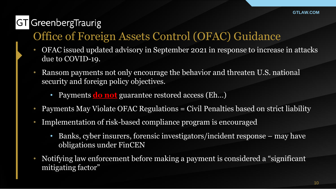### Office of Foreign Assets Control (OFAC) Guidance

- OFAC issued updated advisory in September 2021 in response to increase in attacks due to COVID-19.
- Ransom payments not only encourage the behavior and threaten U.S. national security and foreign policy objectives.
	- Payments **do not** guarantee restored access (Eh…)
- Payments May Violate OFAC Regulations = Civil Penalties based on strict liability
- Implementation of risk-based compliance program is encouraged
	- Banks, cyber insurers, forensic investigators/incident response may have obligations under FinCEN
- Notifying law enforcement before making a payment is considered a "significant" mitigating factor"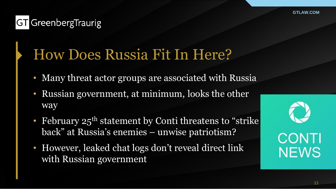#### **GT** GreenbergTraurig

# How Does Russia Fit In Here?

- Many threat actor groups are associated with Russia
- Russian government, at minimum, looks the other way
- February 25<sup>th</sup> statement by Conti threatens to "strike back" at Russia's enemies – unwise patriotism?
- However, leaked chat logs don't reveal direct link with Russian government

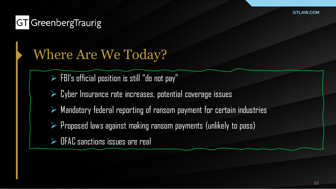## Where Are We Today?

- $\triangleright$  FBI's official position is still "do not pay"
- $\triangleright$  Cyber Insurance rate increases, potential coverage issues
- ➢ Mandatory federal reporting of ransom payment for certain industries
- ➢ Proposed laws against making ransom payments (unlikely to pass)
- ➢ OFAC sanctions issues are real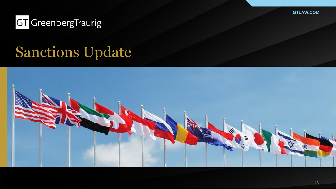#### **GT** GreenbergTraurig

# Sanctions Update

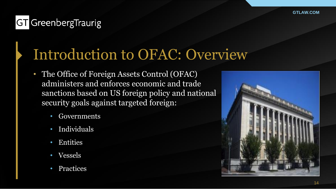#### **GT** GreenbergTraurig

# Introduction to OFAC: Overview

- The Office of Foreign Assets Control (OFAC) administers and enforces economic and trade sanctions based on US foreign policy and national security goals against targeted foreign:
	- Governments
	- Individuals
	- Entities
	- Vessels
	- **Practices**

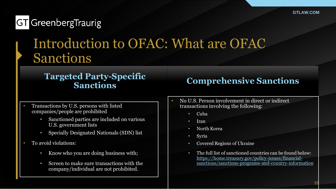### Introduction to OFAC: What are OFAC Sanctions

#### **Targeted Party-Specific Sanctions**

#### **Comprehensive Sanctions**

- Transactions by U.S. persons with listed companies/people are prohibited
	- Sanctioned parties are included on various U.S. government lists
	- Specially Designated Nationals (SDN) list
- To avoid violations:
	- Know who you are doing business with;
	- Screen to make sure transactions with the company/individual are not prohibited.
- No U.S. Person involvement in direct or indirect transactions involving the following:
	- Cuba
	- Iran
	- North Korea
	- Syria
	- Covered Regions of Ukraine
	- The full list of sanctioned countries can be found below: https://home.treasury.gov/policy-issues/financial[sanctions/sanctions-programs-and-country-information](https://home.treasury.gov/policy-issues/financial-sanctions/sanctions-programs-and-country-information)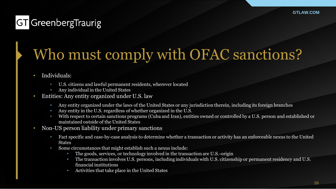# Who must comply with OFAC sanctions?

- Individuals:
	- U.S. citizens and lawful permanent residents, wherever located
	- Any individual in the United States
- Entities: Any entity organized under U.S. law
	- Any entity organized under the laws of the United States or any jurisdiction therein, including its foreign branches
	- Any entity in the U.S. regardless of whether organized in the U.S.
	- With respect to certain sanctions programs (Cuba and Iran), entities owned or controlled by a U.S. person and established or maintained outside of the United States
- Non-US person liability under primary sanctions
	- Fact specific and case-by-case analysis to determine whether a transaction or activity has an enforceable nexus to the United **States**
	- Some circumstances that might establish such a nexus include:
		- The goods, services, or technology involved in the transaction are U.S.-origin
		- The transaction involves U.S. persons, including individuals with U.S. citizenship or permanent residency and U.S. financial institutions
		- Activities that take place in the United States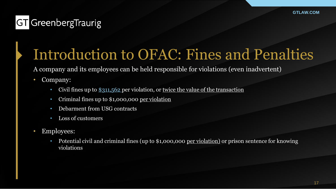# Introduction to OFAC: Fines and Penalties

A company and its employees can be held responsible for violations (even inadvertent)

- Company:
	- Civil fines up to [\\$311,562](https://home.treasury.gov/system/files/126/fr2021_05506.pdf) per violation, or twice the value of the transaction
	- Criminal fines up to \$1,000,000 per violation
	- Debarment from USG contracts
	- Loss of customers
- Employees:
	- Potential civil and criminal fines (up to \$1,000,000 per violation) or prison sentence for knowing violations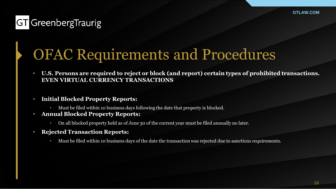# OFAC Requirements and Procedures

- **U.S. Persons are required to reject or block (and report) certain types of prohibited transactions. EVEN VIRTUAL CURRENCY TRANSACTIONS**
- **Initial Blocked Property Reports:**
	- Must be filed within 10 business days following the date that property is blocked.
- **Annual Blocked Property Reports:**
	- On all blocked property held as of June 30 of the current year must be filed annually no later.
- **Rejected Transaction Reports:**
	- Must be filed within 10 business days of the date the transaction was rejected due to sanctions requirements.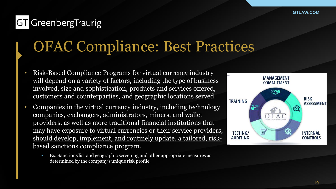# OFAC Compliance: Best Practices

- Risk-Based Compliance Programs for virtual currency industry will depend on a variety of factors, including the type of business involved, size and sophistication, products and services offered, customers and counterparties, and geographic locations served.
- Companies in the virtual currency industry, including technology companies, exchangers, administrators, miners, and wallet providers, as well as more traditional financial institutions that may have exposure to virtual currencies or their service providers, should develop, implement, and routinely update, a tailored, riskbased sanctions compliance program.
	- Ex. Sanctions list and geographic screening and other appropriate measures as determined by the company's unique risk profile.

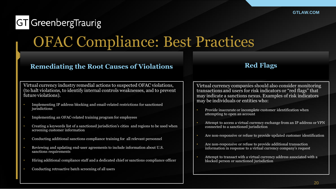# OFAC Compliance: Best Practices

#### **Remediating the Root Causes of Violations**

#### **Red Flags**

Virtual currency industry remedial actions to suspected OFAC violations, (to halt violations, to identify internal controls weaknesses, and to prevent future violations).

- Implementing IP address blocking and email-related restrictions for sanctioned jurisdictions
- Implementing an OFAC-related training program for employees
- Creating a keywords list of a sanctioned jurisdiction's cities and regions to be used when screening customer information
- Conducting additional sanctions compliance training for all relevant personnel
- Reviewing and updating end-user agreements to include information about U.S. sanctions requirements
- Hiring additional compliance staff and a dedicated chief or sanctions compliance officer
- Conducting retroactive batch screening of all users

Virtual currency companies should also consider monitoring transactions and users for risk indicators or "red flags" that may indicate a sanctions nexus. Examples of risk indicators may be individuals or entities who:

- Provide inaccurate or incomplete customer identification when attempting to open an account
- Attempt to access a virtual currency exchange from an IP address or VPN connected to a sanctioned jurisdiction
- Are non-responsive or refuse to provide updated customer identification
- Are non-responsive or refuse to provide additional transaction information in response to a virtual currency company's request
- Attempt to transact with a virtual currency address associated with a blocked person or sanctioned jurisdiction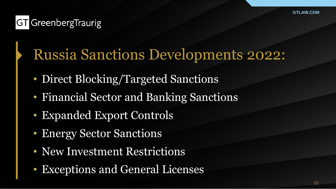# Russia Sanctions Developments 2022:

- Direct Blocking/Targeted Sanctions
- Financial Sector and Banking Sanctions
- Expanded Export Controls
- Energy Sector Sanctions
- New Investment Restrictions
- Exceptions and General Licenses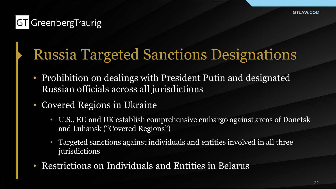# Russia Targeted Sanctions Designations

- Prohibition on dealings with President Putin and designated Russian officials across all jurisdictions
- Covered Regions in Ukraine
	- U.S., EU and UK establish comprehensive embargo against areas of Donetsk and Luhansk ("Covered Regions")
	- Targeted sanctions against individuals and entities involved in all three jurisdictions
- Restrictions on Individuals and Entities in Belarus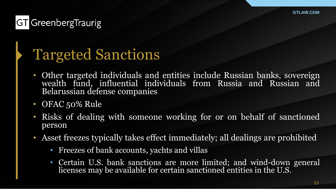#### **GT** GreenbergTraurig

# Targeted Sanctions

- Other targeted individuals and entities include Russian banks, sovereign wealth fund, influential individuals from Russia and Russian and Belarussian defense companies
- OFAC 50% Rule
- Risks of dealing with someone working for or on behalf of sanctioned person
- Asset freezes typically takes effect immediately; all dealings are prohibited
	- Freezes of bank accounts, yachts and villas
	- Certain U.S. bank sanctions are more limited; and wind-down general licenses may be available for certain sanctioned entities in the U.S.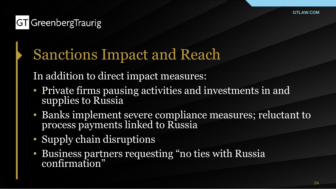# Sanctions Impact and Reach

In addition to direct impact measures:

- Private firms pausing activities and investments in and supplies to Russia
- Banks implement severe compliance measures; reluctant to process payments linked to Russia
- Supply chain disruptions
- Business partners requesting "no ties with Russia confirmation"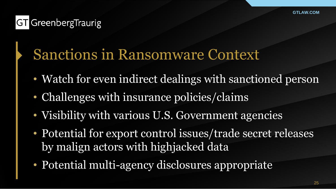# Sanctions in Ransomware Context

- Watch for even indirect dealings with sanctioned person
- Challenges with insurance policies/claims
- Visibility with various U.S. Government agencies
- Potential for export control issues/trade secret releases by malign actors with highjacked data
- Potential multi-agency disclosures appropriate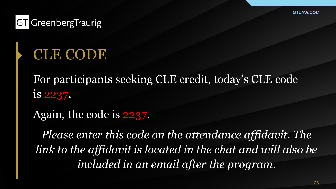#### **GT** GreenbergTraurig

# CLE CODE

For participants seeking CLE credit, today's CLE code is 2237.

Again, the code is 2237.

*Please enter this code on the attendance affidavit. The link to the affidavit is located in the chat and will also be included in an email after the program.*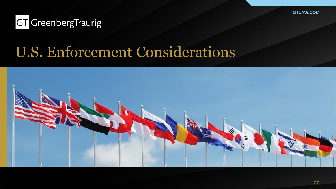#### **GT** GreenbergTraurig

# U.S. Enforcement Considerations

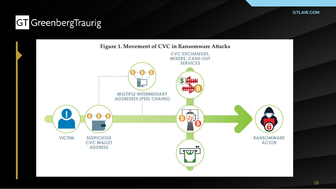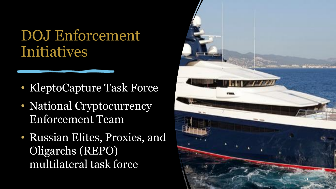# DOJ Enforcement Initiatives

- KleptoCapture Task Force
- National Cryptocurrency Enforcement Team
- Russian Elites, Proxies, and Oligarchs (REPO) multilateral task force

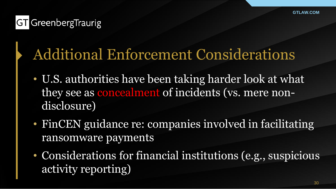# Additional Enforcement Considerations

- U.S. authorities have been taking harder look at what they see as concealment of incidents (vs. mere nondisclosure)
- FinCEN guidance re: companies involved in facilitating ransomware payments
- Considerations for financial institutions (e.g., suspicious activity reporting)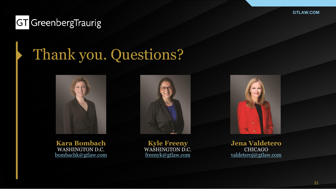#### **GT** GreenbergTraurig

# Thank you. Questions?







**Kara Bombach** WASHINGTON D.C. [bombachk@gtlaw.com](mailto:bombachk@gtlaw.com)

**Kyle Freeny** WASHINGTON D.C. [freenyk@gtlaw.com](mailto:greenbergb@gtlaw.com)

**Jena Valdetero** CHICAGO valdetero[j@gtlaw.com](mailto:brennanct@gtlaw.com)